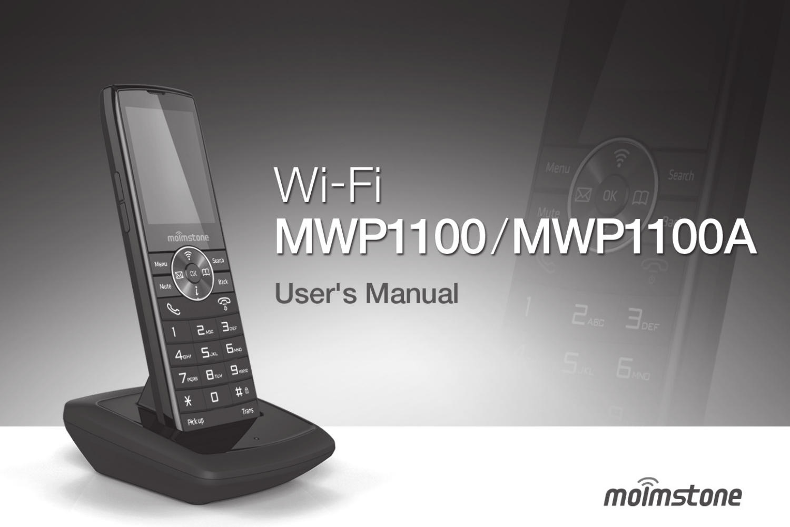

# $W$ i-Fi **MWP1100/MWP1100A**

**User's Manual** 

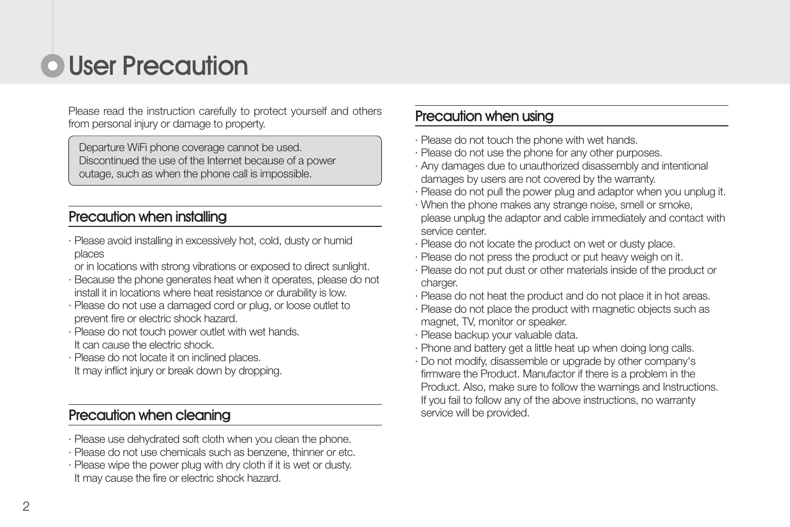### **O** User Precaution

Please read the instruction carefully to protect yourself and others from personal injury or damage to property.

Departure WiFi phone coverage cannot be used. Discontinued the use of the Internet because of a power outage, such as when the phone call is impossible.

#### Precaution when installing

- · Please avoid installing in excessively hot, cold, dusty or humid places
- or in locations with strong vibrations or exposed to direct sunlight.
- · Because the phone generates heat when it operates, please do not install it in locations where heat resistance or durability is low.
- · Please do not use a damaged cord or plug, or loose outlet to prevent fire or electric shock hazard.
- · Please do not touch power outlet with wet hands. It can cause the electric shock.
- · Please do not locate it on inclined places. It may inflict injury or break down by dropping.

#### Precaution when cleaning

- · Please use dehydrated soft cloth when you clean the phone.
- · Please do not use chemicals such as benzene, thinner or etc.
- · Please wipe the power plug with dry cloth if it is wet or dusty. It may cause the fire or electric shock hazard.

#### Precaution when using

- · Please do not touch the phone with wet hands.
- · Please do not use the phone for any other purposes.
- · Any damages due to unauthorized disassembly and intentional damages by users are not covered by the warranty.
- · Please do not pull the power plug and adaptor when you unplug it.
- · When the phone makes any strange noise, smell or smoke, please unplug the adaptor and cable immediately and contact with service center.
- · Please do not locate the product on wet or dusty place.
- · Please do not press the product or put heavy weigh on it.
- · Please do not put dust or other materials inside of the product or charger.
- · Please do not heat the product and do not place it in hot areas.
- · Please do not place the product with magnetic objects such as magnet, TV, monitor or speaker.
- · Please backup your valuable data.
- · Phone and battery get a little heat up when doing long calls.
- · Do not modify, disassemble or upgrade by other company's firmware the Product. Manufactor if there is a problem in the Product. Also, make sure to follow the warnings and Instructions. If you fail to follow any of the above instructions, no warranty service will be provided.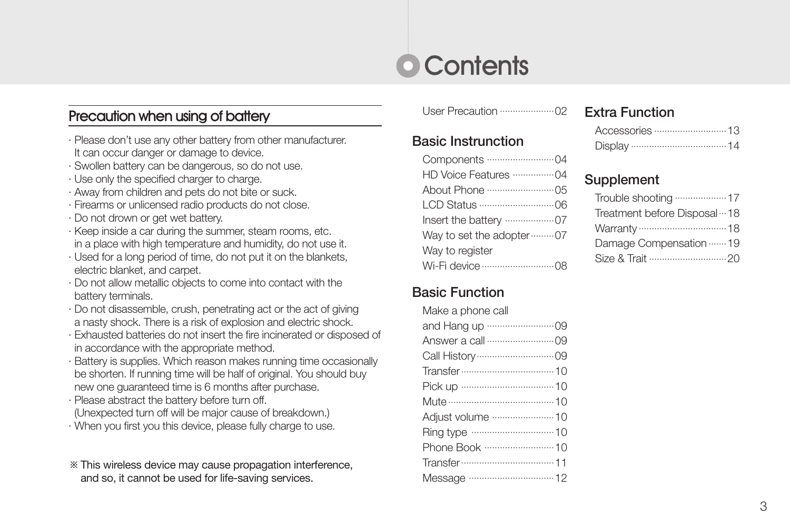### **O** Contents

### **Precaution when using of battery** User Precaution ······························ 02

- · Please don't use any other battery from other manufacturer. It can occur danger or damage to device.
- · Swollen battery can be dangerous, so do not use.
- · Use only the specified charger to charge.
- · Away from children and pets do not bite or suck.
- · Firearms or unlicensed radio products do not close.
- · Do not drown or get wet battery.
- · Keep inside a car during the summer, steam rooms, etc. in a place with high temperature and humidity, do not use it.
- · Used for a long period of time, do not put it on the blankets, electric blanket, and carpet.
- · Do not allow metallic objects to come into contact with the battery terminals.
- · Do not disassemble, crush, penetrating act or the act of giving a nasty shock. There is a risk of explosion and electric shock.
- · Exhausted batteries do not insert the fire incinerated or disposed of in accordance with the appropriate method.
- · Battery is supplies. Which reason makes running time occasionally be shorten. If running time will be half of original. You should buy new one guaranteed time is 6 months after purchase.
- · Please abstract the battery before turn off. (Unexpected turn off will be major cause of breakdown.)
- · When you first you this device, please fully charge to use.
- ※This wireless device may cause propagation interference, and so, it cannot be used for life-saving services.

#### Basic Instrunction

| Way to set the adopter  07 |
|----------------------------|
| Way to register            |
|                            |

#### Basic Function

| Make a phone call |
|-------------------|
|                   |
|                   |
|                   |
|                   |
|                   |
|                   |
|                   |
|                   |
|                   |
|                   |
|                   |

#### Extra Function

#### **Supplement**

| Treatment before Disposal ··· 18 |
|----------------------------------|
|                                  |
| Damage Compensation 19           |
|                                  |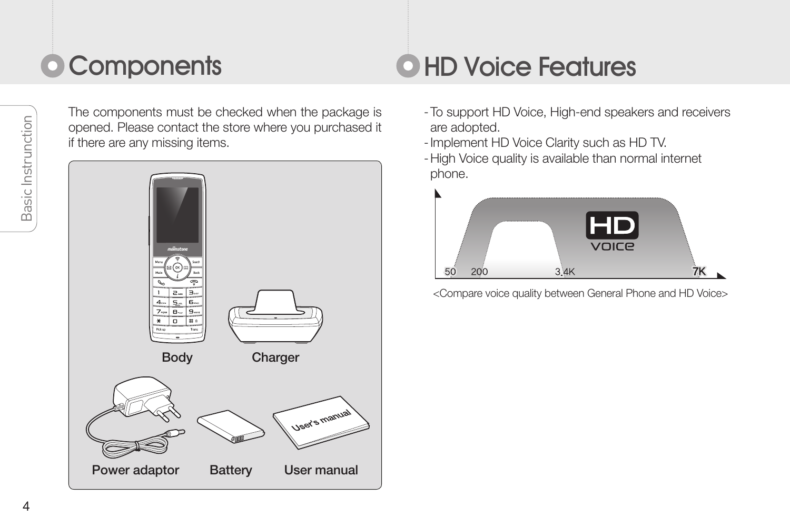## Components **Access OHD Voir**

The components must be checked when the package is opened. Please contact the store where you purchased it if there are any missing items.



### **O HD Voice Features**

- -To support HD Voice, High-end speakers and receivers are adopted.
- -Implement HD Voice Clarity such as HD TV.
- -High Voice quality is available than normal internet phone.



<Compare voice quality between General Phone and HD Voice>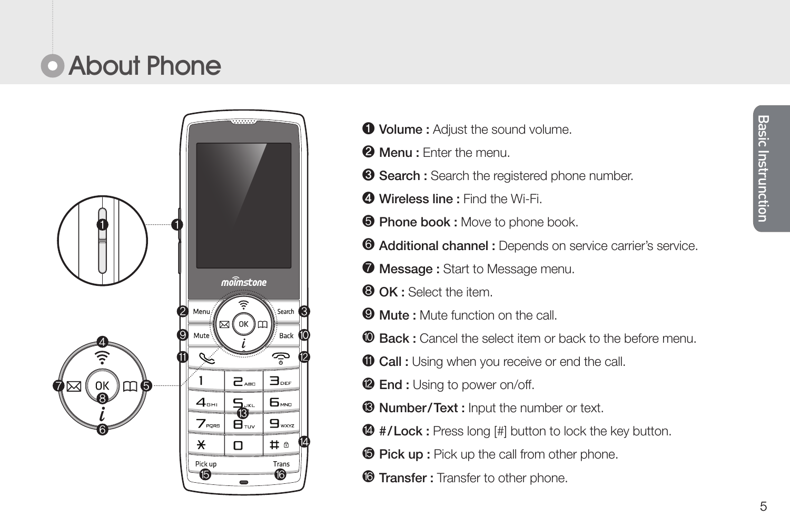## **C** About Phone



- $\bullet$  **Volume :** Adjust the sound volume.
- **@ Menu : Enter the menu.**
- **Search :** Search the registered phone number.
- Wireless line : Find the Wi-Fi.
- **O** Phone book : Move to phone book.
- $\bullet$  Additional channel : Depends on service carrier's service.
- **Message:** Start to Message menu.
- O OK : Select the item.
- **Wute: Mute function on the call.**
- **C** Back : Cancel the select item or back to the before menu.
- **O** Call : Using when you receive or end the call.
- <sup>2</sup> End : Using to power on/off.
- **® Number/Text : Input the number or text.**
- $\bullet$  #/Lock : Press long [#] button to lock the key button.
- **Pick up :** Pick up the call from other phone.
- **Transfer : Transfer to other phone.**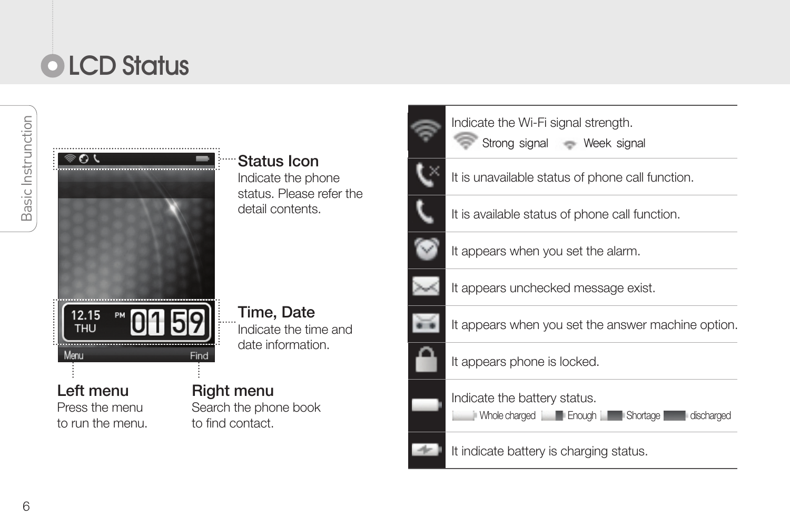## **OLCD Status**



Left menu Press the menu to run the menu. Status Icon Indicate the phone status. Please refer the detail contents.

Time, Date Indicate the time and date information.

Search the phone book to find contact.





It is unavailable status of phone call function.



It appears when you set the alarm.

Indicate the Wi-Fi signal strength. Strong signal Week signal



It appears unchecked message exist.

It appears when you set the answer machine option.



Indicate the battery status.

**Enough | Enough | Enough Shortage discharged** 

It indicate battery is charging status.

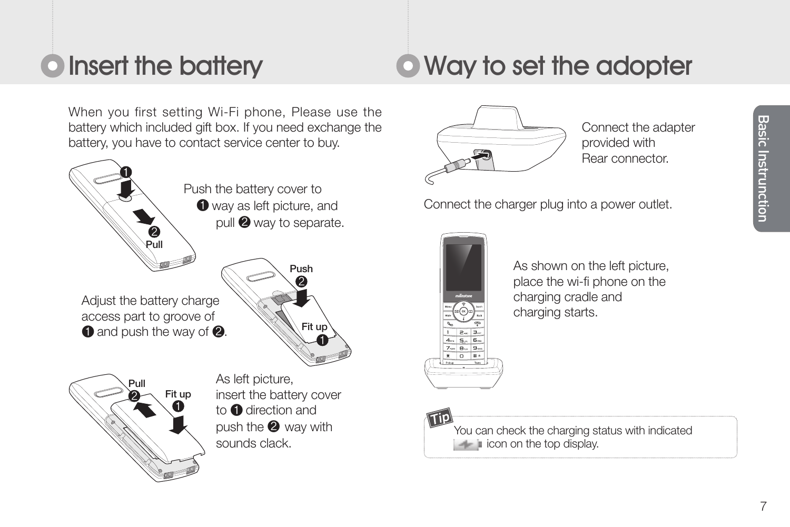### **O** Insert the battery **C** Way to set the adopter

When you first setting Wi-Fi phone, Please use the battery which included gift box. If you need exchange the battery, you have to contact service center to buy.



 Push the battery cover to **O** way as left picture, and pull **2** way to separate.

Adjust the battery charge access part to groove of  $\bigcirc$  and push the way of  $\bigcirc$ .





 As left picture, insert the battery cover to **O** direction and push the  $\bullet$  way with sounds clack.



Connect the adapter provided with Rear connector.

Connect the charger plug into a power outlet.



As shown on the left picture, place the wi-fi phone on the charging cradle and charging starts.

You can check the charging status with indicated  $\blacksquare$  icon on the top display.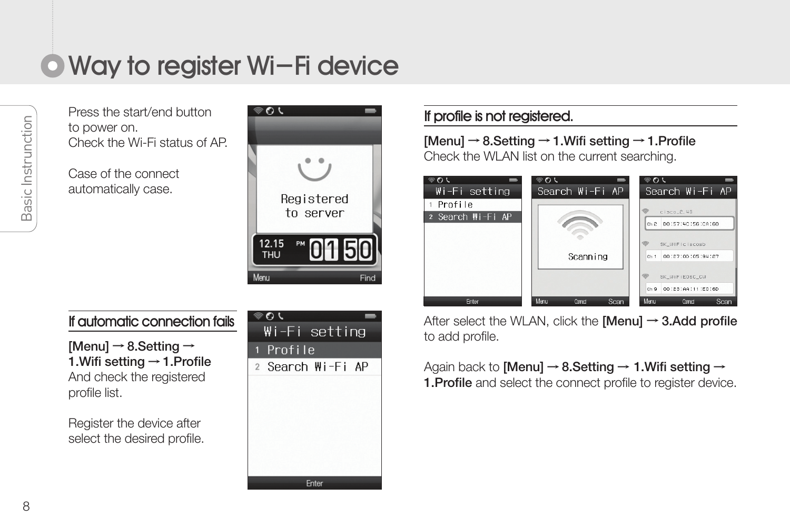### Way to register Wi-Fi device

Press the start/end button to power on. Check the Wi-Fi status of AP.

Case of the connect automatically case.



#### If automatic connection fails

[Menu]  $\rightarrow$  8. Setting  $\rightarrow$ 1.Wifi setting → 1.Profile And check the registered profile list.

Register the device after select the desired profile.



#### If profile is not registered.

[Menu] → 8.Setting → 1.Wifi setting → 1.Profile Check the WLAN list on the current searching.



After select the WLAN, click the **[Menu]**  $\rightarrow$  **3.Add profile** to add profile.

Again back to [Menu]  $\rightarrow$  8. Setting  $\rightarrow$  1. Wifi setting  $\rightarrow$ **1.Profile** and select the connect profile to register device.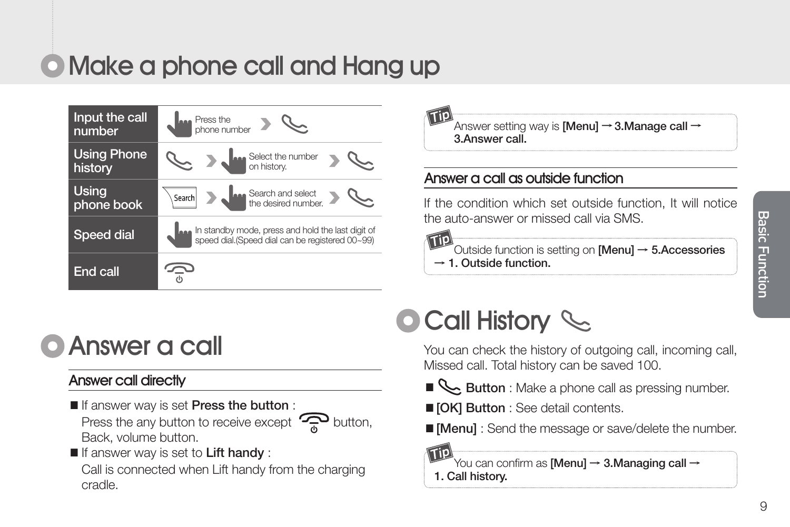### Make a phone call and Hang up

| Input the call<br>number      | <b>RAM</b> Press the<br>phone number                                                                 |
|-------------------------------|------------------------------------------------------------------------------------------------------|
| <b>Using Phone</b><br>history | Select the number<br>on history.                                                                     |
| Using<br>phone book           | Search and select<br>the desired number.<br>Search                                                   |
| <b>Speed dial</b>             | In standby mode, press and hold the last digit of<br>speed dial.(Speed dial can be registered 00-99) |
| End call                      |                                                                                                      |

 $\stackrel{\text{'}}{\text{Answer}}$  setting way is **[Menu]**  $\rightarrow$  **3.Manage call**  $\rightarrow$ 3.Answer call.

#### Answer a call as outside function

If the condition which set outside function, It will notice the auto-answer or missed call via SMS.

 $\overleftrightarrow{0}$ utside function is setting on **[Menu]**  $\rightarrow$  **5.Accessories**  $\rightarrow$  1. Outside function.

### Answer a call

#### Answer call directly

- If answer way is set Press the button : Press the any button to receive except  $\mathbb{R}$  button, Back, volume button.
- If answer way is set to Lift handy :

Call is connected when Lift handy from the charging cradle.

### **O Call History Social**

You can check the history of outgoing call, incoming call, Missed call. Total history can be saved 100.

- **Button** : Make a phone call as pressing number.
- **[OK] Button** : See detail contents.
- [Menu] : Send the message or save/delete the number.

ŤО You can confirm as [Menu] → 3.Managing call →

1. Call history.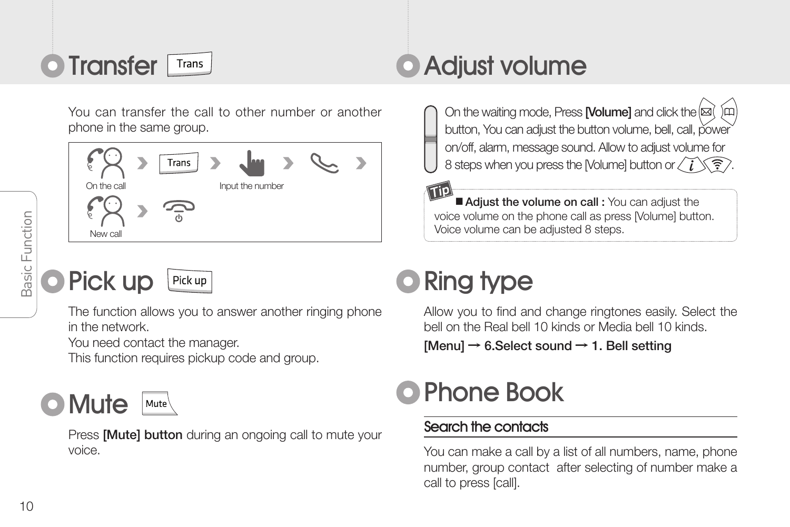

You can transfer the call to other number or another phone in the same group.



**O** Pick up

### Pick up

The function allows you to answer another ringing phone in the network.

You need contact the manager.

This function requires pickup code and group.

### Mute

Press **[Mute] button** during an ongoing call to mute your voice.

### **O** Transfer Transider Adjust volume

On the waiting mode, Press [Volume] and click the  $\boxtimes$ button, You can adjust the button volume, bell, call, power on/off, alarm, message sound. Allow to adjust volume for 8 steps when you press the [Volume] button or  $\langle \widetilde{i} \rangle \langle \widehat{\widetilde{\tau}} \rangle$ 

■ Adjust the volume on call : You can adjust the voice volume on the phone call as press [Volume] button. Voice volume can be adjusted 8 steps.

### **O** Ring type

Allow you to find and change ringtones easily. Select the bell on the Real bell 10 kinds or Media bell 10 kinds.

 $[Menu] \rightarrow 6. Select sound \rightarrow 1. Bell setting$ 

### Phone Book

#### Search the contacts

You can make a call by a list of all numbers, name, phone number, group contact after selecting of number make a call to press [call].

Basic Function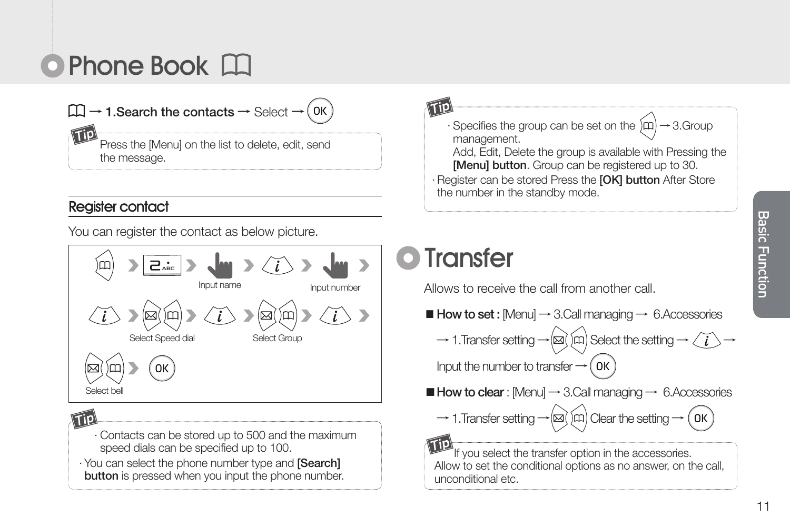### **O** Phone Book

# $\square \rightarrow$  1. Search the contacts  $\rightarrow$  Select  $\rightarrow$  (OK)

Press the [Menu] on the list to delete, edit, send the message.

#### Register contact

You can register the contact as below picture.



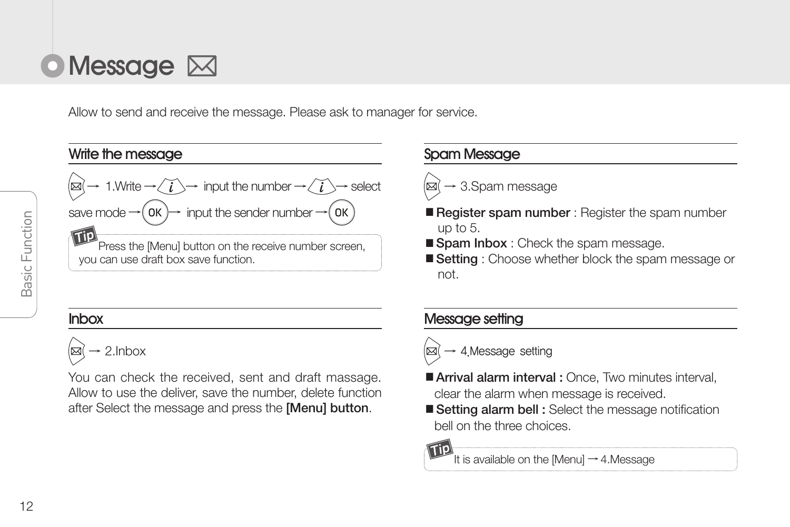

Allow to send and receive the message. Please ask to manager for service.



#### Inbox



You can check the received, sent and draft massage. Allow to use the deliver, save the number, delete function after Select the message and press the [Menu] button.

#### Spam Message

### $\rightarrow$  3.Spam message

- Register spam number : Register the spam number up to 5.
- Spam Inbox : Check the spam message.
- Setting : Choose whether block the spam message or not.

#### Message setting

- $\rightarrow$  4 Message setting
- Arrival alarm interval : Once, Two minutes interval, clear the alarm when message is received.
- Setting alarm bell : Select the message notification bell on the three choices.

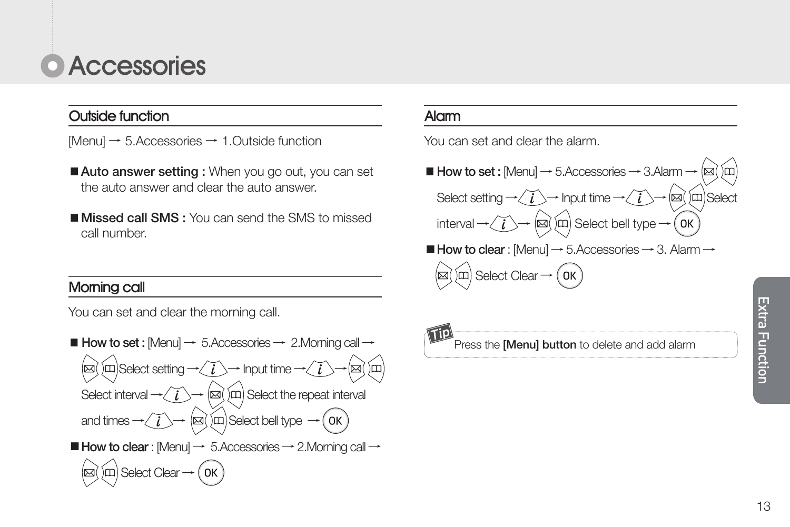### **C** Accessories

#### Outside function

[Menu] → 5.Accessories → 1.Outside function

- Auto answer setting : When you go out, you can set the auto answer and clear the auto answer.
- Missed call SMS : You can send the SMS to missed call number.

You can set and clear the morning call.



#### Alarm

You can set and clear the alarm.

 $\blacksquare$  How to set : [Menu]  $\rightarrow$  5.Accessories  $\rightarrow$  3.Alarm -Select setting  $\rightarrow \left\langle \vec{i}\right\rangle \rightarrow$  Input time  $\rightarrow \left\langle \vec{i}\right\rangle \rightarrow \left\langle |\vec{a}|\right\rangle$  (m) Select  $\left| \text{interval} \rightarrow \left( \overrightarrow{i} \right) \rightarrow \left( \text{sd} \right) \text{sn} \right|$  Select bell type  $\rightarrow \left( \text{OK} \right)$  $\blacksquare$  How to clear : [Menu]  $\rightarrow$  5.Accessories  $\rightarrow$  3. Alarm  $\rightarrow$ Morning call and the select Clear → Morning call and the select Clear → Morning call and the select Clear →

> Tip) Press the [Menu] button to delete and add alarm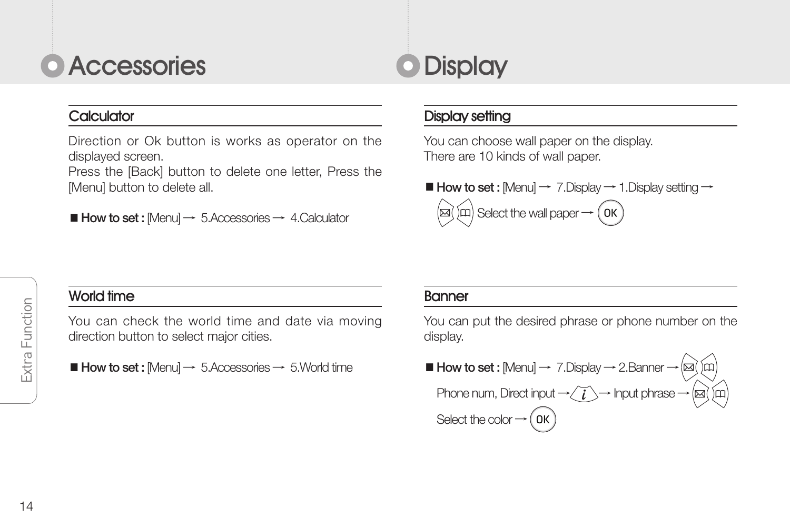### **O** Accessories

#### Calculator

Direction or Ok button is works as operator on the displayed screen.

Press the [Back] button to delete one letter, Press the [Menu] button to delete all.

 $\blacksquare$  How to set : [Menu]  $\rightarrow$  5.Accessories  $\rightarrow$  4.Calculator

### **O** Display

#### Display setting

You can choose wall paper on the display. There are 10 kinds of wall paper.

■ How to set : [Menu]  $\rightarrow$  7.Display  $\rightarrow$  1.Display setting  $\rightarrow$ 

 $\hat{S}(\hat{\mathsf{n}})$  Select the wall paper  $\rightarrow$   $\hat{S}(\mathsf{K})$ 

#### World time

You can check the world time and date via moving direction button to select major cities.

 $\blacksquare$  How to set : [Menu]  $\rightarrow$  5.Accessories  $\rightarrow$  5.World time

#### Banner

You can put the desired phrase or phone number on the display.

■ How to set : [Menu]  $\rightarrow$  7.Display  $\rightarrow$  2.Banner  $\rightarrow$  [ $\boxtimes$ ] Phone num, Direct input  $\rightarrow \textcircled{I} \rightarrow \text{Input}$  phrase  $\rightarrow \textcircled{I}$ Select the color  $\rightarrow$  (OK)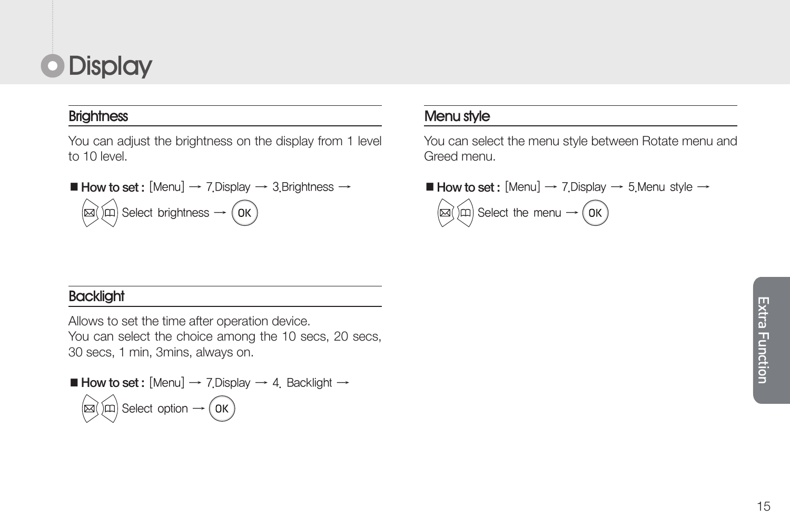### **O** Display

#### **Brightness**

You can adjust the brightness on the display from 1 level to 10 level.

■ How to set : [Menu]  $\rightarrow$  7.Display  $\rightarrow$  3.Brightness  $\rightarrow$  $\left(\widehat{\text{m}}\right)$  Select brightness  $\rightarrow$   $\left(\widehat{\text{OK}}\right)$ 

#### **Backlight**

Allows to set the time after operation device. You can select the choice among the 10 secs, 20 secs, 30 secs, 1 min, 3mins, always on.

■ **How to set:** [Menu] → 7. Display → 4. Backlight →  
\n
$$
\text{[M]} \times \text{Select option } \rightarrow \text{OK}
$$

#### Menu style

You can select the menu style between Rotate menu and Greed menu.

■ How to set : [Menu]  $\rightarrow$  7.Display  $\rightarrow$  5.Menu style  $\rightarrow$ 

 $(\widehat{m})$  Select the menu  $\rightarrow$   $(\widehat{0\mathrm{K}})$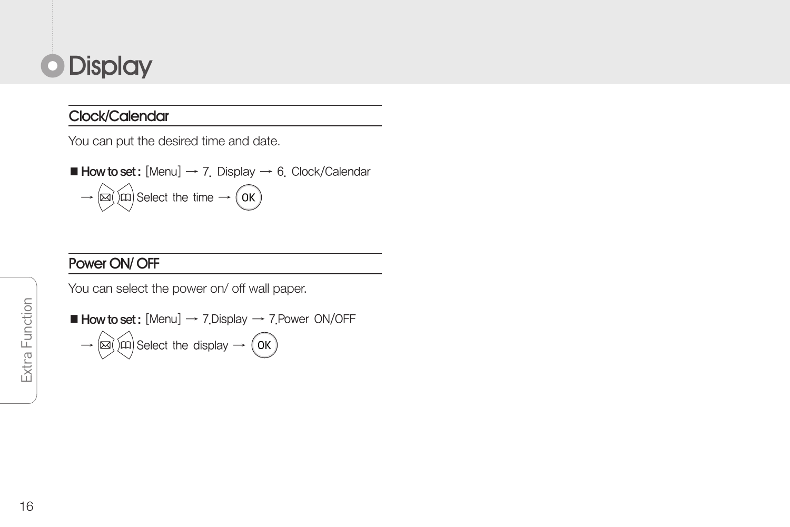### **O** Display

#### Clock/Calendar

You can put the desired time and date.

 $\blacksquare$  How to set: [Menu]  $\rightarrow$  7. Display  $\rightarrow$  6. Clock/Calendar  $\rightarrow$   $\circledR$   $\circledR$  Select the time  $\rightarrow$   $\circledR$ 

### Power ON/ OFF

You can select the power on/ off wall paper.

■ How to set: [Menu] → 7.Display → 7.Power ON/OFF  
→ 
$$
(\text{a})(\text{m})
$$
 Select the display → (OK)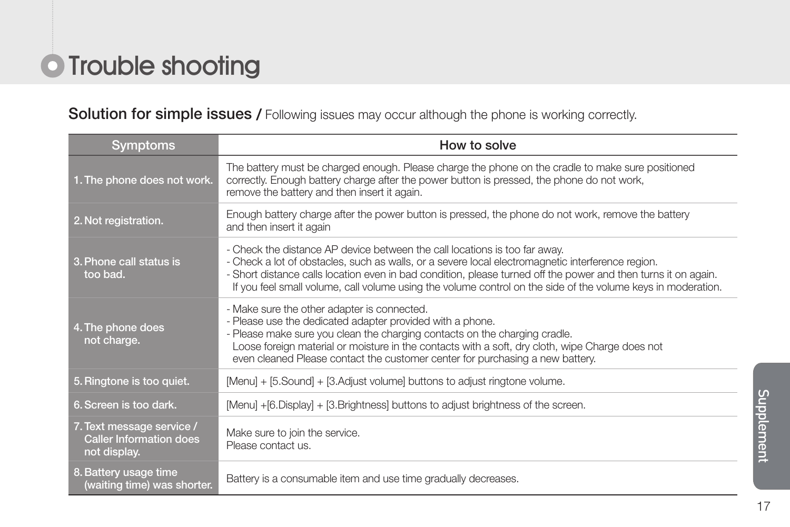### **O** Trouble shooting

#### Solution for simple issues / Following issues may occur although the phone is working correctly.

| <b>Symptoms</b>                                                             | How to solve                                                                                                                                                                                                                                                                                                                                                                                                      |
|-----------------------------------------------------------------------------|-------------------------------------------------------------------------------------------------------------------------------------------------------------------------------------------------------------------------------------------------------------------------------------------------------------------------------------------------------------------------------------------------------------------|
| 1. The phone does not work.                                                 | The battery must be charged enough. Please charge the phone on the cradle to make sure positioned<br>correctly. Enough battery charge after the power button is pressed, the phone do not work,<br>remove the battery and then insert it again.                                                                                                                                                                   |
| 2. Not registration.                                                        | Enough battery charge after the power button is pressed, the phone do not work, remove the battery<br>and then insert it again                                                                                                                                                                                                                                                                                    |
| 3. Phone call status is<br>too bad.                                         | - Check the distance AP device between the call locations is too far away.<br>- Check a lot of obstacles, such as walls, or a severe local electromagnetic interference region.<br>- Short distance calls location even in bad condition, please turned off the power and then turns it on again.<br>If you feel small volume, call volume using the volume control on the side of the volume keys in moderation. |
| 4. The phone does<br>not charge.                                            | - Make sure the other adapter is connected.<br>- Please use the dedicated adapter provided with a phone.<br>- Please make sure you clean the charging contacts on the charging cradle.<br>Loose foreign material or moisture in the contacts with a soft, dry cloth, wipe Charge does not<br>even cleaned Please contact the customer center for purchasing a new battery.                                        |
| 5. Ringtone is too quiet.                                                   | [Menu] + [5.Sound] + [3.Adjust volume] buttons to adjust ringtone volume.                                                                                                                                                                                                                                                                                                                                         |
| 6. Screen is too dark.                                                      | [Menu] +[6.Display] + [3.Brightness] buttons to adjust brightness of the screen.                                                                                                                                                                                                                                                                                                                                  |
| 7. Text message service /<br><b>Caller Information does</b><br>not display. | Make sure to join the service.<br>Please contact us.                                                                                                                                                                                                                                                                                                                                                              |
| 8. Battery usage time<br>(waiting time) was shorter.                        | Battery is a consumable item and use time gradually decreases.                                                                                                                                                                                                                                                                                                                                                    |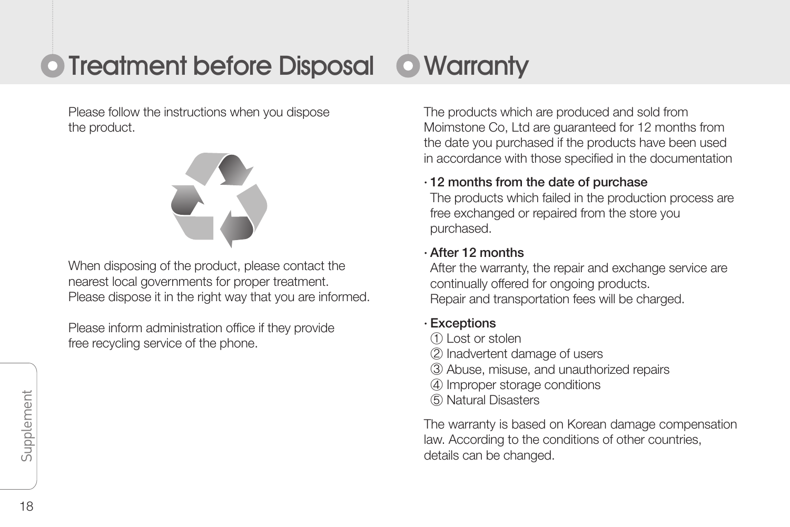## **O** Treatment before Disposal **O** Warranty

Please follow the instructions when you dispose the product.



When disposing of the product, please contact the nearest local governments for proper treatment. Please dispose it in the right way that you are informed.

Please inform administration office if they provide free recycling service of the phone.

The products which are produced and sold from Moimstone Co, Ltd are guaranteed for 12 months from the date you purchased if the products have been used in accordance with those specified in the documentation

#### · 12 months from the date of purchase

The products which failed in the production process are free exchanged or repaired from the store you purchased.

#### · After 12 months

After the warranty, the repair and exchange service are continually offered for ongoing products. Repair and transportation fees will be charged.

#### · Exceptions

- ① Lost or stolen
- ② Inadvertent damage of users
- ③ Abuse, misuse, and unauthorized repairs
- ④ Improper storage conditions
- ⑤ Natural Disasters

The warranty is based on Korean damage compensation law. According to the conditions of other countries, details can be changed.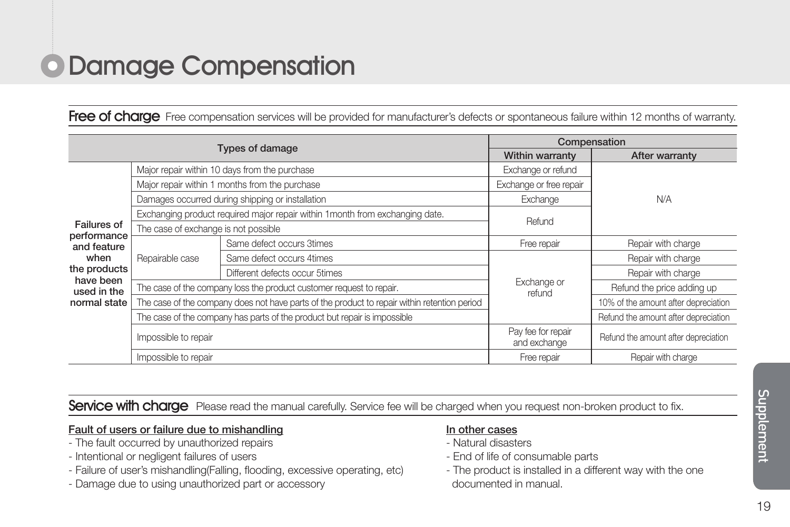### Damage Compensation

Free of charge Free compensation services will be provided for manufacturer's defects or spontaneous failure within 12 months of warranty.

|                                                                                                               |                                                                                              |                                                                           | Compensation                       |                                      |  |
|---------------------------------------------------------------------------------------------------------------|----------------------------------------------------------------------------------------------|---------------------------------------------------------------------------|------------------------------------|--------------------------------------|--|
|                                                                                                               | <b>Types of damage</b>                                                                       |                                                                           |                                    | After warranty                       |  |
| Failures of<br>performance<br>and feature<br>when<br>the products<br>have been<br>used in the<br>normal state |                                                                                              | Major repair within 10 days from the purchase                             | Exchange or refund                 |                                      |  |
|                                                                                                               |                                                                                              | Major repair within 1 months from the purchase                            | Exchange or free repair            |                                      |  |
|                                                                                                               |                                                                                              | Damages occurred during shipping or installation                          | Exchange                           | N/A                                  |  |
|                                                                                                               | Exchanging product required major repair within 1 month from exchanging date.                |                                                                           | <b>Refund</b>                      |                                      |  |
|                                                                                                               | The case of exchange is not possible                                                         |                                                                           |                                    |                                      |  |
|                                                                                                               | Repairable case                                                                              | Same defect occurs 3times                                                 | Free repair                        | Repair with charge                   |  |
|                                                                                                               |                                                                                              | Same defect occurs 4times                                                 |                                    | Repair with charge                   |  |
|                                                                                                               |                                                                                              | Different defects occur 5times                                            |                                    | Repair with charge                   |  |
|                                                                                                               |                                                                                              | The case of the company loss the product customer request to repair.      | Exchange or<br>refund              | Refund the price adding up           |  |
|                                                                                                               | The case of the company does not have parts of the product to repair within retention period |                                                                           |                                    | 10% of the amount after depreciation |  |
|                                                                                                               |                                                                                              | The case of the company has parts of the product but repair is impossible |                                    | Refund the amount after depreciation |  |
|                                                                                                               | Impossible to repair                                                                         |                                                                           | Pay fee for repair<br>and exchange | Refund the amount after depreciation |  |
|                                                                                                               | Impossible to repair                                                                         |                                                                           | Free repair                        | Repair with charge                   |  |

Service with charge Please read the manual carefully. Service fee will be charged when you request non-broken product to fix.

#### Fault of users or failure due to mishandling

- The fault occurred by unauthorized repairs
- Intentional or negligent failures of users
- Failure of user's mishandling(Falling, flooding, excessive operating, etc)
- Damage due to using unauthorized part or accessory

#### In other cases

- Natural disasters
- End of life of consumable parts
- The product is installed in a different way with the one documented in manual.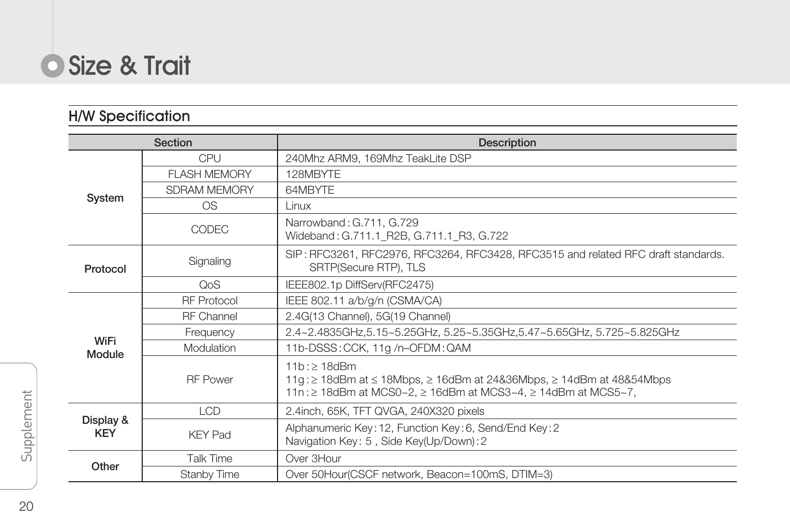

### H/W Specification

| Section                 |                     | <b>Description</b>                                                                                                                                                                  |
|-------------------------|---------------------|-------------------------------------------------------------------------------------------------------------------------------------------------------------------------------------|
| System                  | CPU                 | 240Mhz ARM9, 169Mhz TeakLite DSP                                                                                                                                                    |
|                         | <b>FLASH MEMORY</b> | 128MBYTF                                                                                                                                                                            |
|                         | SDRAM MEMORY        | 64MBYTF                                                                                                                                                                             |
|                         | O <sub>S</sub>      | I inux                                                                                                                                                                              |
|                         | <b>CODEC</b>        | Narrowband: G.711, G.729<br>Wideband: G.711.1 R2B, G.711.1 R3, G.722                                                                                                                |
| Protocol                | Signaling           | SIP: RFC3261, RFC2976, RFC3264, RFC3428, RFC3515 and related RFC draft standards.<br>SRTP(Secure RTP), TLS                                                                          |
|                         | OoS                 | IEEE802.1p DiffServ(RFC2475)                                                                                                                                                        |
|                         | <b>RF</b> Protocol  | IEEE 802.11 a/b/g/n (CSMA/CA)                                                                                                                                                       |
|                         | <b>RF</b> Channel   | 2.4G(13 Channel), 5G(19 Channel)                                                                                                                                                    |
| WiFi                    | Frequency           | 2.4~2.4835GHz,5.15~5.25GHz, 5.25~5.35GHz,5.47~5.65GHz, 5.725~5.825GHz                                                                                                               |
| Module                  | Modulation          | 11b-DSSS: CCK, 11g /n-OFDM: QAM                                                                                                                                                     |
|                         | <b>RF</b> Power     | $11h \cdot > 18d$ Rm<br>11g : $\geq$ 18dBm at $\leq$ 18Mbps, $\geq$ 16dBm at 24&36Mbps, $\geq$ 14dBm at 48&54Mbps<br>11n : ≥ 18dBm at MCS0~2, ≥ 16dBm at MCS3~4, ≥ 14dBm at MCS5~7, |
|                         | LCD.                | 2.4inch, 65K, TFT QVGA, 240X320 pixels                                                                                                                                              |
| Display &<br><b>KEY</b> | <b>KFY Pad</b>      | Alphanumeric Key: 12, Function Key: 6, Send/End Key: 2<br>Navigation Key: 5, Side Key(Up/Down): 2                                                                                   |
| Other                   | Talk Time           | Over 3Hour                                                                                                                                                                          |
|                         | Stanby Time         | Over 50Hour(CSCF network, Beacon=100mS, DTIM=3)                                                                                                                                     |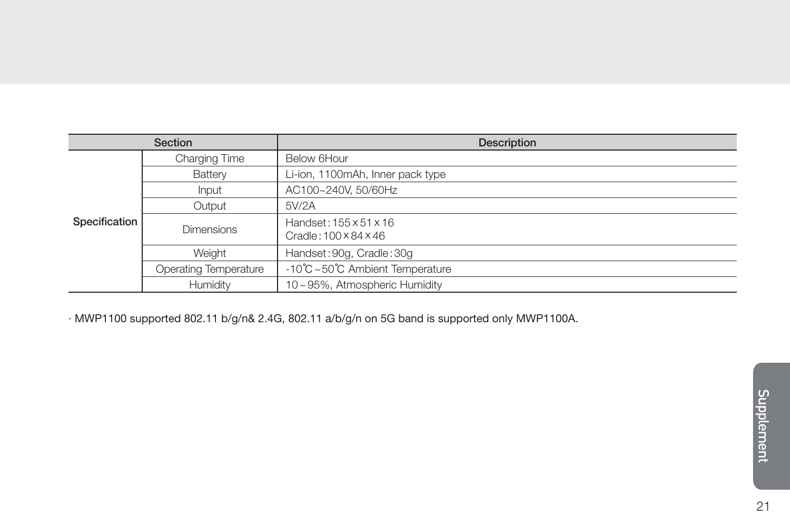| Section       |                       | Description                                     |
|---------------|-----------------------|-------------------------------------------------|
|               | Charging Time         | Below 6Hour                                     |
|               | Battery               | Li-ion, 1100mAh, Inner pack type                |
| Specification | Input                 | AC100~240V, 50/60Hz                             |
|               | Output                | 5V/2A                                           |
|               | <b>Dimensions</b>     | Handset: 155 × 51 × 16<br>Cradle: 100 x 84 x 46 |
|               | Weiaht                | Handset: 90g, Cradle: 30g                       |
|               | Operating Temperature | -10℃~50℃ Ambient Temperature                    |
|               | Humidity              | 10~95%. Atmospheric Humidity                    |

· MWP1100 supported 802.11 b/g/n& 2.4G, 802.11 a/b/g/n on 5G band is supported only MWP1100A.